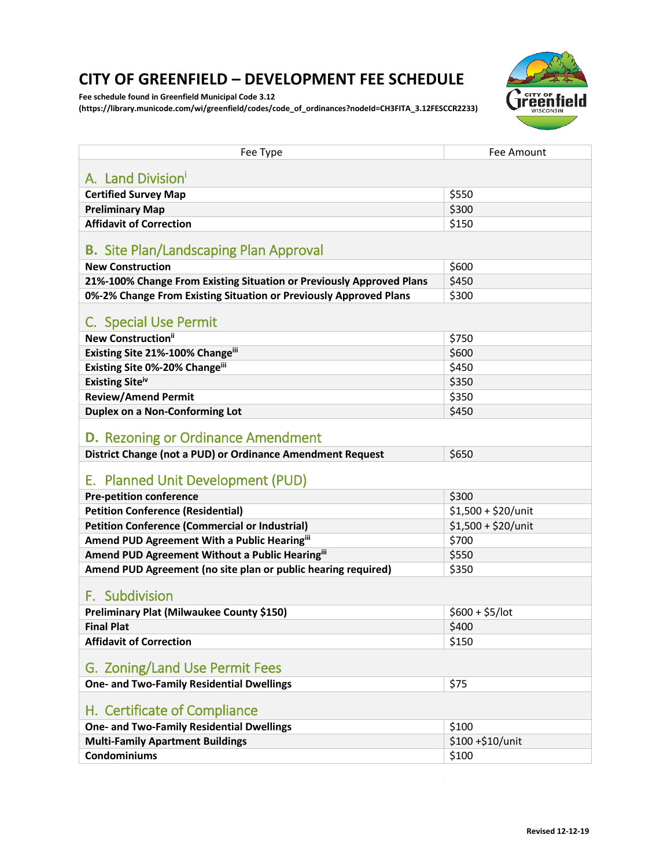## **CITY OF GREENFIELD – DEVELOPMENT FEE SCHEDULE**

**Fee schedule found in Greenfield Municipal Code 3.12** 

**[\(https://library.municode.com/wi/greenfield/codes/code\\_of\\_ordinances?nodeId=CH3FITA\\_3.12FESCCR2233\)](https://library.municode.com/wi/greenfield/codes/code_of_ordinances?nodeId=CH3FITA_3.12FESCCR2233)**



<span id="page-0-0"></span>

| Fee Type                                                             | Fee Amount           |  |
|----------------------------------------------------------------------|----------------------|--|
| A. Land Division'                                                    |                      |  |
| <b>Certified Survey Map</b>                                          | \$550                |  |
| <b>Preliminary Map</b>                                               | \$300                |  |
| <b>Affidavit of Correction</b>                                       | \$150                |  |
| <b>B.</b> Site Plan/Landscaping Plan Approval                        |                      |  |
| <b>New Construction</b>                                              | \$600                |  |
| 21%-100% Change From Existing Situation or Previously Approved Plans | \$450                |  |
| 0%-2% Change From Existing Situation or Previously Approved Plans    | \$300                |  |
| C. Special Use Permit                                                |                      |  |
| <b>New Construction</b> ii                                           | \$750                |  |
| Existing Site 21%-100% Changeiii                                     | \$600                |  |
| Existing Site 0%-20% Changeiii                                       | \$450                |  |
| Existing Siteiv                                                      | \$350                |  |
| <b>Review/Amend Permit</b>                                           | \$350                |  |
| <b>Duplex on a Non-Conforming Lot</b>                                | \$450                |  |
| <b>D.</b> Rezoning or Ordinance Amendment                            |                      |  |
| District Change (not a PUD) or Ordinance Amendment Request           | \$650                |  |
| E. Planned Unit Development (PUD)                                    |                      |  |
| <b>Pre-petition conference</b>                                       | \$300                |  |
| <b>Petition Conference (Residential)</b>                             | $$1,500 + $20/$ unit |  |
| <b>Petition Conference (Commercial or Industrial)</b>                | $$1,500 + $20/$ unit |  |
| Amend PUD Agreement With a Public Hearingiii                         | \$700                |  |
| Amend PUD Agreement Without a Public Hearingiii                      | \$550                |  |
| Amend PUD Agreement (no site plan or public hearing required)        | \$350                |  |
| F. Subdivision                                                       |                      |  |
| <b>Preliminary Plat (Milwaukee County \$150)</b>                     | $$600 + $5/$ lot     |  |
| <b>Final Plat</b>                                                    | \$400                |  |
| <b>Affidavit of Correction</b>                                       | \$150                |  |
| G. Zoning/Land Use Permit Fees                                       |                      |  |
| <b>One- and Two-Family Residential Dwellings</b>                     | \$75                 |  |
| H. Certificate of Compliance                                         |                      |  |
| <b>One- and Two-Family Residential Dwellings</b>                     | \$100                |  |
| <b>Multi-Family Apartment Buildings</b>                              | \$100+\$10/unit      |  |
| <b>Condominiums</b>                                                  | \$100                |  |

 $\mathcal{L}$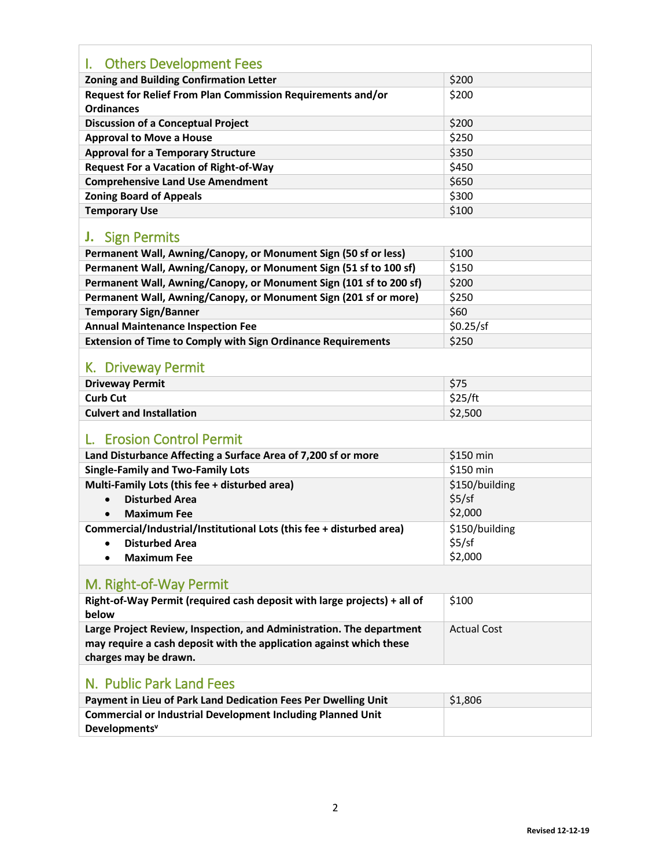| I. Others Development Fees                                                        |                    |
|-----------------------------------------------------------------------------------|--------------------|
| <b>Zoning and Building Confirmation Letter</b>                                    | \$200              |
| Request for Relief From Plan Commission Requirements and/or<br><b>Ordinances</b>  | \$200              |
| <b>Discussion of a Conceptual Project</b>                                         | \$200              |
| <b>Approval to Move a House</b>                                                   | \$250              |
| <b>Approval for a Temporary Structure</b>                                         | \$350              |
| <b>Request For a Vacation of Right-of-Way</b>                                     | \$450              |
| <b>Comprehensive Land Use Amendment</b>                                           | \$650              |
| <b>Zoning Board of Appeals</b>                                                    | \$300              |
| <b>Temporary Use</b>                                                              | \$100              |
| <b>J.</b> Sign Permits                                                            |                    |
| Permanent Wall, Awning/Canopy, or Monument Sign (50 sf or less)                   | \$100              |
| Permanent Wall, Awning/Canopy, or Monument Sign (51 sf to 100 sf)                 | \$150              |
| Permanent Wall, Awning/Canopy, or Monument Sign (101 sf to 200 sf)                | \$200              |
| Permanent Wall, Awning/Canopy, or Monument Sign (201 sf or more)                  | \$250              |
| <b>Temporary Sign/Banner</b>                                                      | \$60               |
| <b>Annual Maintenance Inspection Fee</b>                                          | \$0.25/sf          |
| <b>Extension of Time to Comply with Sign Ordinance Requirements</b>               | \$250              |
| K. Driveway Permit                                                                |                    |
| <b>Driveway Permit</b>                                                            | \$75               |
| <b>Curb Cut</b>                                                                   | \$25/ft            |
| <b>Culvert and Installation</b>                                                   | \$2,500            |
| <b>Erosion Control Permit</b>                                                     |                    |
| Land Disturbance Affecting a Surface Area of 7,200 sf or more                     | \$150 min          |
| <b>Single-Family and Two-Family Lots</b>                                          | \$150 min          |
| Multi-Family Lots (this fee + disturbed area)                                     | \$150/building     |
| <b>Disturbed Area</b><br>$\bullet$                                                | \$5/sf             |
| <b>Maximum Fee</b>                                                                | \$2,000            |
| Commercial/Industrial/Institutional Lots (this fee + disturbed area)              | \$150/building     |
| <b>Disturbed Area</b><br>٠                                                        | \$5/sf             |
| <b>Maximum Fee</b>                                                                | \$2,000            |
| M. Right-of-Way Permit                                                            |                    |
| Right-of-Way Permit (required cash deposit with large projects) + all of<br>below | \$100              |
| Large Project Review, Inspection, and Administration. The department              | <b>Actual Cost</b> |
| may require a cash deposit with the application against which these               |                    |
| charges may be drawn.                                                             |                    |
| N. Public Park Land Fees                                                          |                    |
| Payment in Lieu of Park Land Dedication Fees Per Dwelling Unit                    | \$1,806            |
| <b>Commercial or Industrial Development Including Planned Unit</b>                |                    |
| Developments <sup>v</sup>                                                         |                    |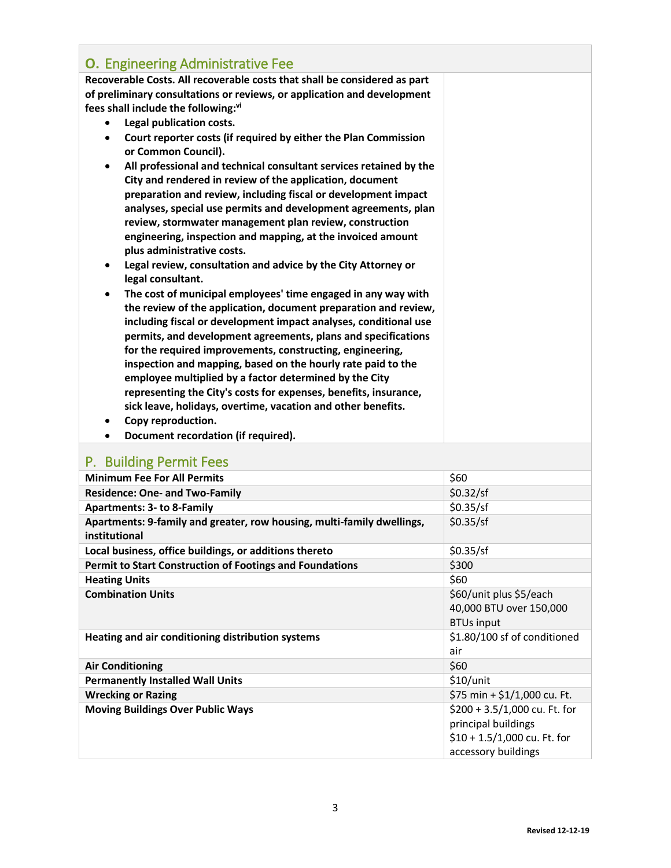| <b>O.</b> Engineering Administrative Fee                                                            |  |
|-----------------------------------------------------------------------------------------------------|--|
| Recoverable Costs. All recoverable costs that shall be considered as part                           |  |
| of preliminary consultations or reviews, or application and development                             |  |
| fees shall include the following:vi                                                                 |  |
| Legal publication costs.<br>$\bullet$                                                               |  |
| Court reporter costs (if required by either the Plan Commission<br>$\bullet$<br>or Common Council). |  |
| All professional and technical consultant services retained by the<br>$\bullet$                     |  |
| City and rendered in review of the application, document                                            |  |
| preparation and review, including fiscal or development impact                                      |  |
| analyses, special use permits and development agreements, plan                                      |  |
| review, stormwater management plan review, construction                                             |  |
| engineering, inspection and mapping, at the invoiced amount                                         |  |
| plus administrative costs.                                                                          |  |
| Legal review, consultation and advice by the City Attorney or<br>legal consultant.                  |  |
| The cost of municipal employees' time engaged in any way with<br>٠                                  |  |
| the review of the application, document preparation and review,                                     |  |
| including fiscal or development impact analyses, conditional use                                    |  |
| permits, and development agreements, plans and specifications                                       |  |
| for the required improvements, constructing, engineering,                                           |  |
| inspection and mapping, based on the hourly rate paid to the                                        |  |
| employee multiplied by a factor determined by the City                                              |  |
| representing the City's costs for expenses, benefits, insurance,                                    |  |
| sick leave, holidays, overtime, vacation and other benefits.                                        |  |
| Copy reproduction.                                                                                  |  |
| Document recordation (if required).                                                                 |  |

## P. Building Permit Fees

| <b>Minimum Fee For All Permits</b>                                                      | \$60                                                                                                         |
|-----------------------------------------------------------------------------------------|--------------------------------------------------------------------------------------------------------------|
| <b>Residence: One- and Two-Family</b>                                                   | \$0.32/sf                                                                                                    |
| <b>Apartments: 3- to 8-Family</b>                                                       | \$0.35/sf                                                                                                    |
| Apartments: 9-family and greater, row housing, multi-family dwellings,<br>institutional | \$0.35/sf                                                                                                    |
| Local business, office buildings, or additions thereto                                  | \$0.35/sf                                                                                                    |
| <b>Permit to Start Construction of Footings and Foundations</b>                         | \$300                                                                                                        |
| <b>Heating Units</b>                                                                    | \$60                                                                                                         |
| <b>Combination Units</b>                                                                | \$60/unit plus \$5/each<br>40,000 BTU over 150,000<br><b>BTUs input</b>                                      |
| Heating and air conditioning distribution systems                                       | \$1.80/100 sf of conditioned<br>air                                                                          |
| <b>Air Conditioning</b>                                                                 | \$60                                                                                                         |
| <b>Permanently Installed Wall Units</b>                                                 | $$10/$ unit                                                                                                  |
| <b>Wrecking or Razing</b>                                                               | \$75 min + \$1/1,000 cu. Ft.                                                                                 |
| <b>Moving Buildings Over Public Ways</b>                                                | \$200 + 3.5/1,000 cu. Ft. for<br>principal buildings<br>$$10 + 1.5/1,000$ cu. Ft. for<br>accessory buildings |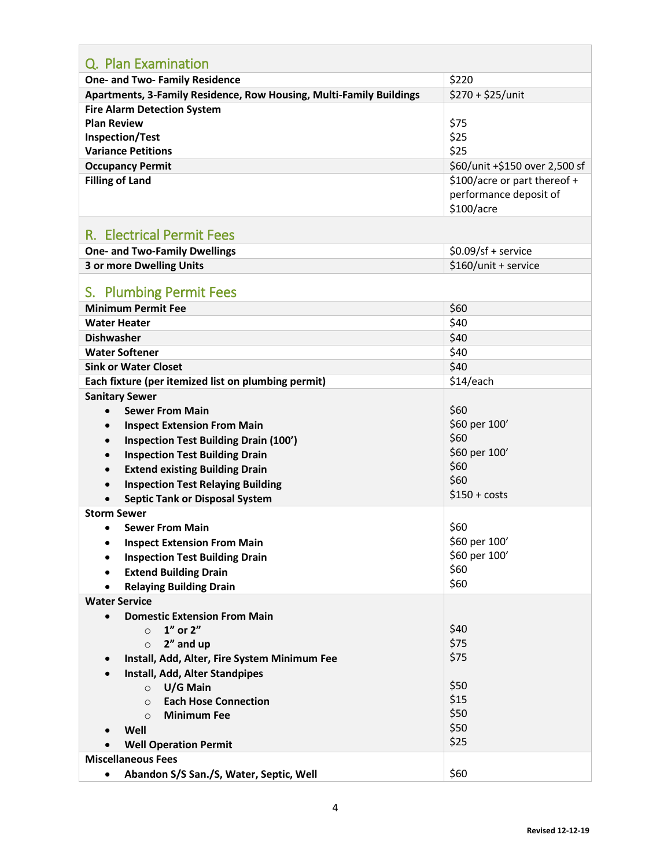| Q. Plan Examination                                                 |                                |
|---------------------------------------------------------------------|--------------------------------|
| <b>One- and Two- Family Residence</b>                               | \$220                          |
| Apartments, 3-Family Residence, Row Housing, Multi-Family Buildings | $$270 + $25/$ unit             |
| <b>Fire Alarm Detection System</b>                                  |                                |
| <b>Plan Review</b>                                                  | \$75                           |
| <b>Inspection/Test</b>                                              | \$25                           |
| <b>Variance Petitions</b>                                           | \$25                           |
| <b>Occupancy Permit</b>                                             | \$60/unit +\$150 over 2,500 sf |
| <b>Filling of Land</b>                                              | \$100/acre or part thereof +   |
|                                                                     | performance deposit of         |
|                                                                     | \$100/acre                     |
|                                                                     |                                |
| <b>R. Electrical Permit Fees</b>                                    |                                |
| <b>One- and Two-Family Dwellings</b>                                | $$0.09/sf +$ service           |
| <b>3 or more Dwelling Units</b>                                     | \$160/unit + service           |
|                                                                     |                                |
| S. Plumbing Permit Fees                                             |                                |
| <b>Minimum Permit Fee</b>                                           | \$60                           |
| <b>Water Heater</b>                                                 | \$40                           |
| <b>Dishwasher</b>                                                   | \$40                           |
| <b>Water Softener</b>                                               | \$40                           |
| <b>Sink or Water Closet</b>                                         | \$40                           |
| Each fixture (per itemized list on plumbing permit)                 | \$14/each                      |
| <b>Sanitary Sewer</b>                                               |                                |
| <b>Sewer From Main</b>                                              | \$60                           |
| <b>Inspect Extension From Main</b>                                  | \$60 per 100'                  |
| <b>Inspection Test Building Drain (100')</b><br>$\bullet$           | \$60                           |
| <b>Inspection Test Building Drain</b>                               | \$60 per 100'                  |
| <b>Extend existing Building Drain</b><br>$\bullet$                  | \$60                           |
|                                                                     | \$60                           |
| <b>Inspection Test Relaying Building</b><br>$\bullet$               | $$150 + costs$                 |
| <b>Septic Tank or Disposal System</b><br><b>Storm Sewer</b>         |                                |
|                                                                     |                                |
| <b>Sewer From Main</b><br>$\bullet$                                 | \$60                           |
| <b>Inspect Extension From Main</b>                                  | \$60 per 100'<br>\$60 per 100' |
| <b>Inspection Test Building Drain</b>                               | \$60                           |
| <b>Extend Building Drain</b><br>$\bullet$                           | \$60                           |
| <b>Relaying Building Drain</b>                                      |                                |
| <b>Water Service</b>                                                |                                |
| <b>Domestic Extension From Main</b><br>$\bullet$                    |                                |
| 1" or 2"<br>$\Omega$                                                | \$40                           |
| 2" and up<br>$\circ$                                                | \$75                           |
| Install, Add, Alter, Fire System Minimum Fee<br>$\bullet$           | \$75                           |
| Install, Add, Alter Standpipes<br>$\bullet$                         | \$50                           |
| U/G Main<br>$\circ$                                                 | \$15                           |
| <b>Each Hose Connection</b><br>$\circ$                              | \$50                           |
| <b>Minimum Fee</b><br>$\circ$                                       | \$50                           |
| Well                                                                | \$25                           |
| <b>Well Operation Permit</b>                                        |                                |
| <b>Miscellaneous Fees</b>                                           |                                |
| Abandon S/S San./S, Water, Septic, Well<br>$\bullet$                | \$60                           |